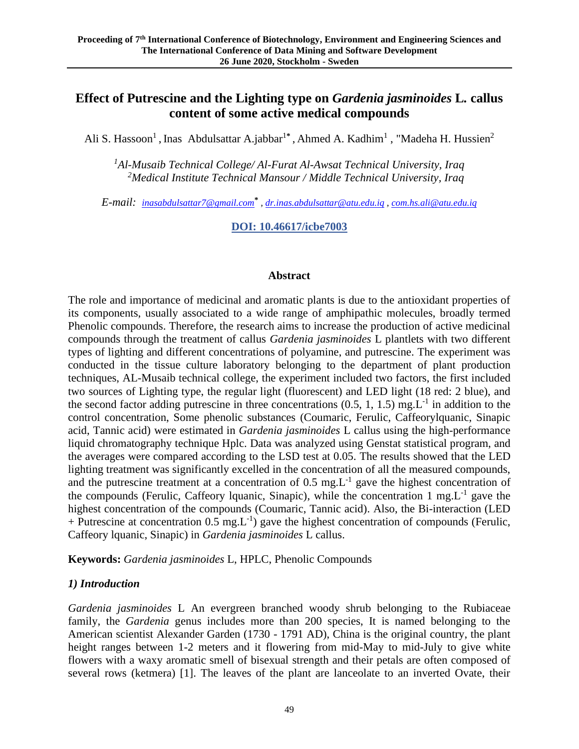# **Effect of Putrescine and the Lighting type on** *Gardenia jasminoides* **L***.* **callus content of some active medical compounds**

Ali S. Hassoon<sup>1</sup>, Inas Abdulsattar A.jabbar<sup>1\*</sup>, Ahmed A. Kadhim<sup>1</sup>, "Madeha H. Hussien<sup>2</sup>

*<sup>1</sup>Al-Musaib Technical College/ Al-Furat Al-Awsat Technical University, Iraq <sup>2</sup>Medical Institute Technical Mansour / Middle Technical University, Iraq*

*E-mail: [inasabdulsattar7@gmail.com](mailto:inasabdulsattar7@gmail.com)***\*** *, [dr.inas.abdulsattar@atu.edu.iq](mailto:dr.inas.abdulsattar@atu.edu.iq) , [com.hs.ali@atu.edu.iq](mailto:com.hs.ali@atu.edu.iq)*

**DOI: 10.46617/icbe7003**

#### **Abstract**

The role and importance of medicinal and aromatic plants is due to the antioxidant properties of its components, usually associated to a wide range of amphipathic molecules, broadly termed Phenolic compounds. Therefore, the research aims to increase the production of active medicinal compounds through the treatment of callus *Gardenia jasminoides* L plantlets with two different types of lighting and different concentrations of polyamine, and putrescine. The experiment was conducted in the tissue culture laboratory belonging to the department of plant production techniques, AL-Musaib technical college, the experiment included two factors, the first included two sources of Lighting type, the regular light (fluorescent) and LED light (18 red: 2 blue), and the second factor adding putrescine in three concentrations  $(0.5, 1, 1.5)$  mg.L<sup>-1</sup> in addition to the control concentration, Some phenolic substances (Coumaric, Ferulic, Caffeorylquanic, Sinapic acid, Tannic acid) were estimated in *Gardenia jasminoides* L callus using the high-performance liquid chromatography technique Hplc. Data was analyzed using Genstat statistical program, and the averages were compared according to the LSD test at 0.05. The results showed that the LED lighting treatment was significantly excelled in the concentration of all the measured compounds, and the putrescine treatment at a concentration of  $0.5 \text{ mg.L}^{-1}$  gave the highest concentration of the compounds (Ferulic, Caffeory Iquanic, Sinapic), while the concentration 1 mg. $L^{-1}$  gave the highest concentration of the compounds (Coumaric, Tannic acid). Also, the Bi-interaction (LED + Putrescine at concentration  $0.5 \text{ mg.L}^{-1}$ ) gave the highest concentration of compounds (Ferulic, Caffeory lquanic, Sinapic) in *Gardenia jasminoides* L callus.

**Keywords:** *Gardenia jasminoides* L, HPLC, Phenolic Compounds

#### *1) Introduction*

*Gardenia jasminoides* L An evergreen branched woody shrub belonging to the Rubiaceae family, the *Gardenia* genus includes more than 200 species, It is named belonging to the American scientist Alexander Garden (1730 - 1791 AD), China is the original country, the plant height ranges between 1-2 meters and it flowering from mid-May to mid-July to give white flowers with a waxy aromatic smell of bisexual strength and their petals are often composed of several rows (ketmera) [1]. The leaves of the plant are lanceolate to an inverted Ovate, their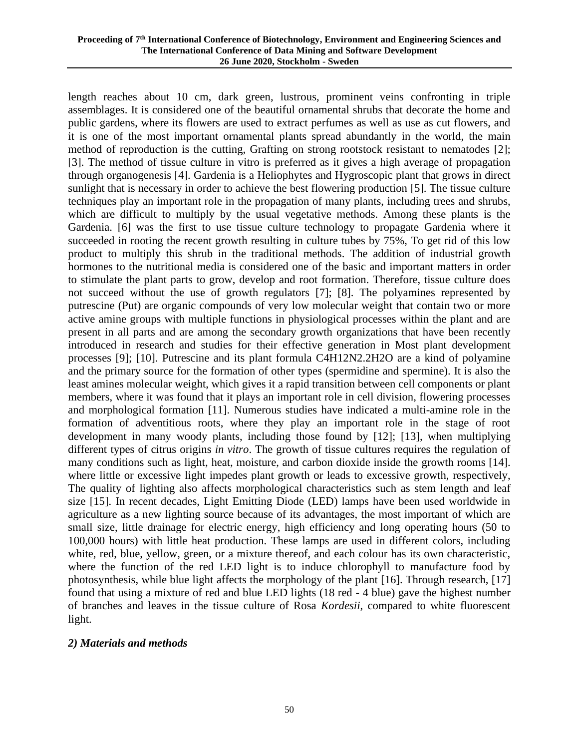length reaches about 10 cm, dark green, lustrous, prominent veins confronting in triple assemblages. It is considered one of the beautiful ornamental shrubs that decorate the home and public gardens, where its flowers are used to extract perfumes as well as use as cut flowers, and it is one of the most important ornamental plants spread abundantly in the world, the main method of reproduction is the cutting, Grafting on strong rootstock resistant to nematodes [2]; [3]. The method of tissue culture in vitro is preferred as it gives a high average of propagation through organogenesis [4]. Gardenia is a Heliophytes and Hygroscopic plant that grows in direct sunlight that is necessary in order to achieve the best flowering production [5]. The tissue culture techniques play an important role in the propagation of many plants, including trees and shrubs, which are difficult to multiply by the usual vegetative methods. Among these plants is the Gardenia. [6] was the first to use tissue culture technology to propagate Gardenia where it succeeded in rooting the recent growth resulting in culture tubes by 75%, To get rid of this low product to multiply this shrub in the traditional methods. The addition of industrial growth hormones to the nutritional media is considered one of the basic and important matters in order to stimulate the plant parts to grow, develop and root formation. Therefore, tissue culture does not succeed without the use of growth regulators [7]; [8]. The polyamines represented by putrescine (Put) are organic compounds of very low molecular weight that contain two or more active amine groups with multiple functions in physiological processes within the plant and are present in all parts and are among the secondary growth organizations that have been recently introduced in research and studies for their effective generation in Most plant development processes [9]; [10]. Putrescine and its plant formula C4H12N2.2H2O are a kind of polyamine and the primary source for the formation of other types (spermidine and spermine). It is also the least amines molecular weight, which gives it a rapid transition between cell components or plant members, where it was found that it plays an important role in cell division, flowering processes and morphological formation [11]. Numerous studies have indicated a multi-amine role in the formation of adventitious roots, where they play an important role in the stage of root development in many woody plants, including those found by [12]; [13], when multiplying different types of citrus origins *in vitro*. The growth of tissue cultures requires the regulation of many conditions such as light, heat, moisture, and carbon dioxide inside the growth rooms [14]. where little or excessive light impedes plant growth or leads to excessive growth, respectively, The quality of lighting also affects morphological characteristics such as stem length and leaf size [15]. In recent decades, Light Emitting Diode (LED) lamps have been used worldwide in agriculture as a new lighting source because of its advantages, the most important of which are small size, little drainage for electric energy, high efficiency and long operating hours (50 to 100,000 hours) with little heat production. These lamps are used in different colors, including white, red, blue, yellow, green, or a mixture thereof, and each colour has its own characteristic. where the function of the red LED light is to induce chlorophyll to manufacture food by photosynthesis, while blue light affects the morphology of the plant [16]. Through research, [17] found that using a mixture of red and blue LED lights (18 red - 4 blue) gave the highest number of branches and leaves in the tissue culture of Rosa *Kordesii*, compared to white fluorescent light.

#### *2) Materials and methods*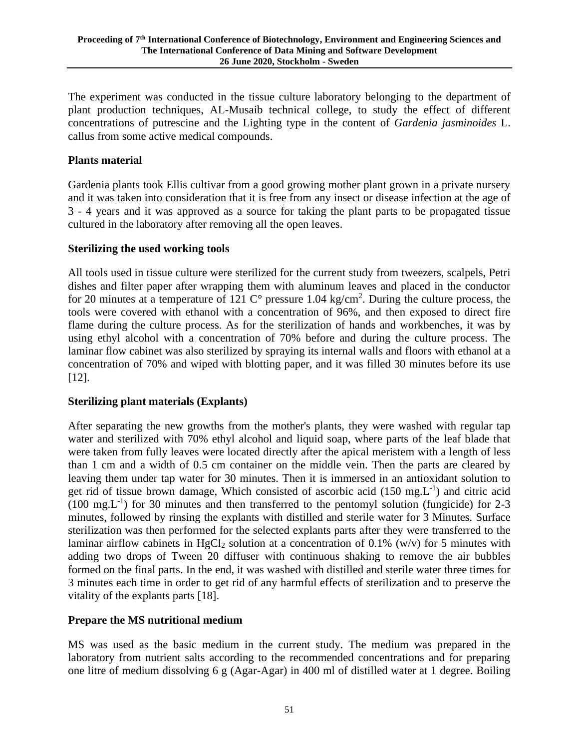The experiment was conducted in the tissue culture laboratory belonging to the department of plant production techniques, AL-Musaib technical college, to study the effect of different concentrations of putrescine and the Lighting type in the content of *Gardenia jasminoides* L. callus from some active medical compounds.

#### **Plants material**

Gardenia plants took Ellis cultivar from a good growing mother plant grown in a private nursery and it was taken into consideration that it is free from any insect or disease infection at the age of 3 - 4 years and it was approved as a source for taking the plant parts to be propagated tissue cultured in the laboratory after removing all the open leaves.

#### **Sterilizing the used working tools**

All tools used in tissue culture were sterilized for the current study from tweezers, scalpels, Petri dishes and filter paper after wrapping them with aluminum leaves and placed in the conductor for 20 minutes at a temperature of 121  $\degree$  pressure 1.04 kg/cm<sup>2</sup>. During the culture process, the tools were covered with ethanol with a concentration of 96%, and then exposed to direct fire flame during the culture process. As for the sterilization of hands and workbenches, it was by using ethyl alcohol with a concentration of 70% before and during the culture process. The laminar flow cabinet was also sterilized by spraying its internal walls and floors with ethanol at a concentration of 70% and wiped with blotting paper, and it was filled 30 minutes before its use [12].

## **Sterilizing plant materials (Explants)**

After separating the new growths from the mother's plants, they were washed with regular tap water and sterilized with 70% ethyl alcohol and liquid soap, where parts of the leaf blade that were taken from fully leaves were located directly after the apical meristem with a length of less than 1 cm and a width of 0.5 cm container on the middle vein. Then the parts are cleared by leaving them under tap water for 30 minutes. Then it is immersed in an antioxidant solution to get rid of tissue brown damage, Which consisted of ascorbic acid  $(150 \text{ mg} L^{-1})$  and citric acid  $(100 \text{ mg} L^{-1})$  for 30 minutes and then transferred to the pentomyl solution (fungicide) for 2-3 minutes, followed by rinsing the explants with distilled and sterile water for 3 Minutes. Surface sterilization was then performed for the selected explants parts after they were transferred to the laminar airflow cabinets in HgCl<sub>2</sub> solution at a concentration of 0.1% (w/v) for 5 minutes with adding two drops of Tween 20 diffuser with continuous shaking to remove the air bubbles formed on the final parts. In the end, it was washed with distilled and sterile water three times for 3 minutes each time in order to get rid of any harmful effects of sterilization and to preserve the vitality of the explants parts [18].

## **Prepare the MS nutritional medium**

MS was used as the basic medium in the current study. The medium was prepared in the laboratory from nutrient salts according to the recommended concentrations and for preparing one litre of medium dissolving 6 g (Agar-Agar) in 400 ml of distilled water at 1 degree. Boiling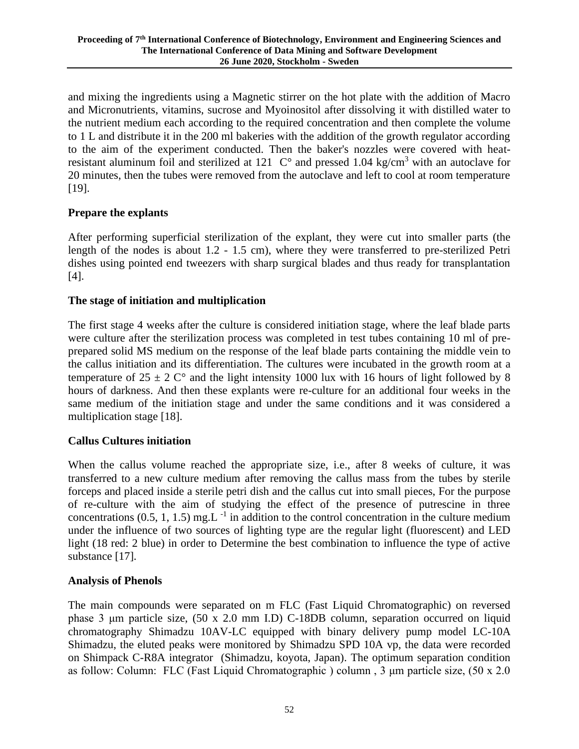and mixing the ingredients using a Magnetic stirrer on the hot plate with the addition of Macro and Micronutrients, vitamins, sucrose and Myoinositol after dissolving it with distilled water to the nutrient medium each according to the required concentration and then complete the volume to 1 L and distribute it in the 200 ml bakeries with the addition of the growth regulator according to the aim of the experiment conducted. Then the baker's nozzles were covered with heatresistant aluminum foil and sterilized at 121  $\degree$  C° and pressed 1.04 kg/cm<sup>3</sup> with an autoclave for 20 minutes, then the tubes were removed from the autoclave and left to cool at room temperature [19].

# **Prepare the explants**

After performing superficial sterilization of the explant, they were cut into smaller parts (the length of the nodes is about 1.2 - 1.5 cm), where they were transferred to pre-sterilized Petri dishes using pointed end tweezers with sharp surgical blades and thus ready for transplantation [4].

## **The stage of initiation and multiplication**

The first stage 4 weeks after the culture is considered initiation stage, where the leaf blade parts were culture after the sterilization process was completed in test tubes containing 10 ml of preprepared solid MS medium on the response of the leaf blade parts containing the middle vein to the callus initiation and its differentiation. The cultures were incubated in the growth room at a temperature of  $25 \pm 2$  C° and the light intensity 1000 lux with 16 hours of light followed by 8 hours of darkness. And then these explants were re-culture for an additional four weeks in the same medium of the initiation stage and under the same conditions and it was considered a multiplication stage [18].

## **Callus Cultures initiation**

When the callus volume reached the appropriate size, i.e., after 8 weeks of culture, it was transferred to a new culture medium after removing the callus mass from the tubes by sterile forceps and placed inside a sterile petri dish and the callus cut into small pieces, For the purpose of re-culture with the aim of studying the effect of the presence of putrescine in three concentrations  $(0.5, 1, 1.5)$  mg.L<sup>-1</sup> in addition to the control concentration in the culture medium under the influence of two sources of lighting type are the regular light (fluorescent) and LED light (18 red: 2 blue) in order to Determine the best combination to influence the type of active substance [17].

## **Analysis of Phenols**

The main compounds were separated on m FLC (Fast Liquid Chromatographic) on reversed phase 3 μm particle size, (50 x 2.0 mm I.D) C-18DB column, separation occurred on liquid chromatography Shimadzu 10AV-LC equipped with binary delivery pump model LC-10A Shimadzu, the eluted peaks were monitored by Shimadzu SPD 10A vp, the data were recorded on Shimpack C-R8A integrator (Shimadzu, koyota, Japan). The optimum separation condition as follow: Column: FLC (Fast Liquid Chromatographic ) column , 3 μm particle size, (50 x 2.0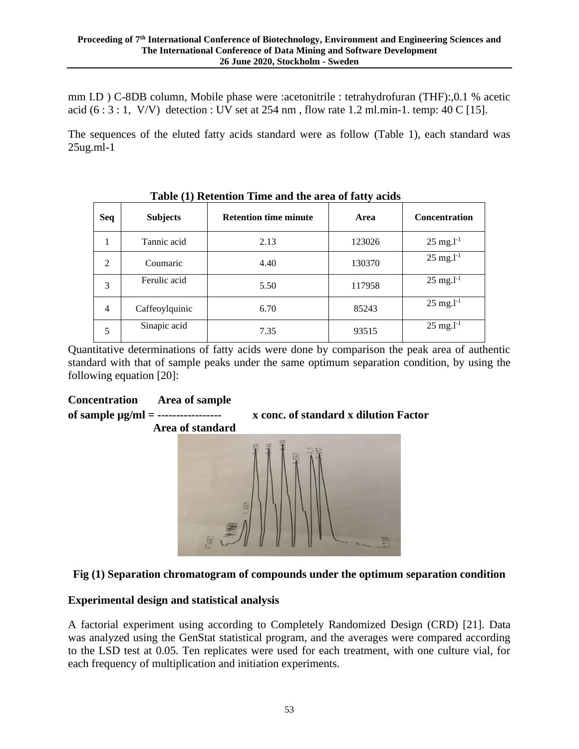mm I.D ) C-8DB column, Mobile phase were :acetonitrile : tetrahydrofuran (THF):,0.1 % acetic acid  $(6:3:1, V/V)$  detection : UV set at 254 nm, flow rate 1.2 ml.min-1. temp: 40 C [15].

The sequences of the eluted fatty acids standard were as follow (Table 1), each standard was 25ug.ml-1

| Tuble (1) Retention Thile and the area of have, actual |                 |                              |        |                         |  |  |  |
|--------------------------------------------------------|-----------------|------------------------------|--------|-------------------------|--|--|--|
| Seq                                                    | <b>Subjects</b> | <b>Retention time minute</b> | Area   | <b>Concentration</b>    |  |  |  |
| 1                                                      | Tannic acid     | 2.13                         | 123026 | $25 \text{ mg.} l^{-1}$ |  |  |  |
| 2                                                      | Coumaric        | 4.40                         | 130370 | $25$ mg. $l^{-1}$       |  |  |  |
| 3                                                      | Ferulic acid    | 5.50                         | 117958 | $25 \text{ mg.} l^{-1}$ |  |  |  |
| 4                                                      | Caffeoylquinic  | 6.70                         | 85243  | $25 \text{ mg.} l^{-1}$ |  |  |  |
| 5                                                      | Sinapic acid    | 7.35                         | 93515  | $25 \text{ mg.} l^{-1}$ |  |  |  |

**Table (1) Retention Time and the area of fatty acids**

Quantitative determinations of fatty acids were done by comparison the peak area of authentic standard with that of sample peaks under the same optimum separation condition, by using the following equation [20]:



## **Fig (1) Separation chromatogram of compounds under the optimum separation condition**

## **Experimental design and statistical analysis**

A factorial experiment using according to Completely Randomized Design (CRD) [21]. Data was analyzed using the GenStat statistical program, and the averages were compared according to the LSD test at 0.05. Ten replicates were used for each treatment, with one culture vial, for each frequency of multiplication and initiation experiments.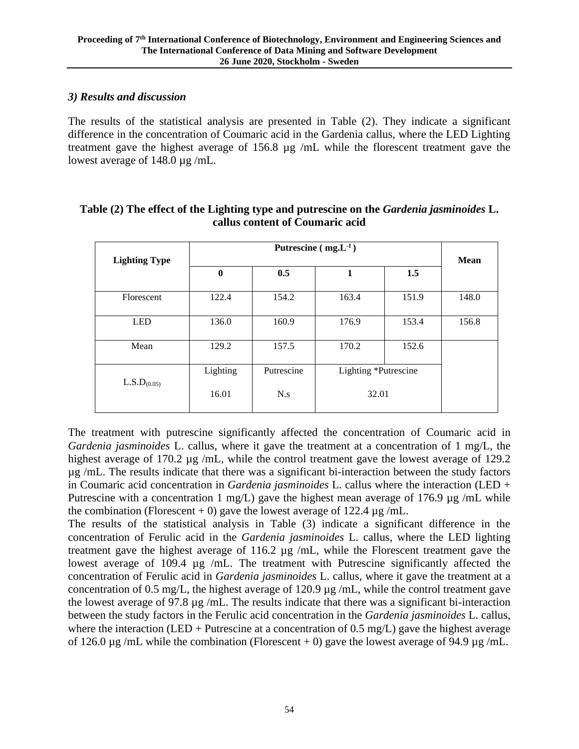#### *3) Results and discussion*

The results of the statistical analysis are presented in Table (2). They indicate a significant difference in the concentration of Coumaric acid in the Gardenia callus, where the LED Lighting treatment gave the highest average of 156.8 µg /mL while the florescent treatment gave the lowest average of 148.0 µg /mL.

| <b>Lighting Type</b>    | $\mathbf{0}$      | 0.5                       | 1                             | 1.5   | <b>Mean</b> |
|-------------------------|-------------------|---------------------------|-------------------------------|-------|-------------|
| Florescent              | 122.4             | 154.2                     | 163.4                         | 151.9 | 148.0       |
| <b>LED</b>              | 136.0             | 160.9                     | 176.9                         | 153.4 | 156.8       |
| Mean                    | 129.2             | 157.5                     | 170.2                         | 152.6 |             |
| L.S.D <sub>(0.05)</sub> | Lighting<br>16.01 | Putrescine<br>$N_{\rm s}$ | Lighting *Putrescine<br>32.01 |       |             |

## **Table (2) The effect of the Lighting type and putrescine on the** *Gardenia jasminoides* **L. callus content of Coumaric acid**

The treatment with putrescine significantly affected the concentration of Coumaric acid in *Gardenia jasminoides* L. callus, where it gave the treatment at a concentration of 1 mg/L, the highest average of 170.2  $\mu$ g /mL, while the control treatment gave the lowest average of 129.2 µg /mL. The results indicate that there was a significant bi-interaction between the study factors in Coumaric acid concentration in *Gardenia jasminoides* L. callus where the interaction (LED + Putrescine with a concentration 1 mg/L) gave the highest mean average of 176.9  $\mu$ g /mL while the combination (Florescent + 0) gave the lowest average of 122.4  $\mu$ g/mL.

The results of the statistical analysis in Table (3) indicate a significant difference in the concentration of Ferulic acid in the *Gardenia jasminoides* L. callus, where the LED lighting treatment gave the highest average of 116.2 µg /mL, while the Florescent treatment gave the lowest average of 109.4 µg /mL. The treatment with Putrescine significantly affected the concentration of Ferulic acid in *Gardenia jasminoides* L. callus, where it gave the treatment at a concentration of 0.5 mg/L, the highest average of 120.9 µg /mL, while the control treatment gave the lowest average of 97.8  $\mu$ g /mL. The results indicate that there was a significant bi-interaction between the study factors in the Ferulic acid concentration in the *Gardenia jasminoides* L. callus, where the interaction (LED + Putrescine at a concentration of 0.5 mg/L) gave the highest average of 126.0  $\mu$ g/mL while the combination (Florescent + 0) gave the lowest average of 94.9  $\mu$ g/mL.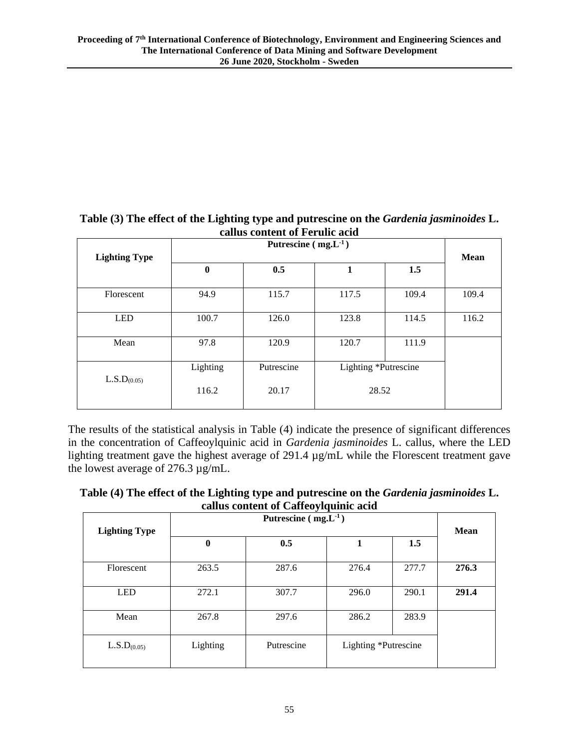#### **Table (3) The effect of the Lighting type and putrescine on the** *Gardenia jasminoides* **L. callus content of Ferulic acid**

| canus content of Fefune acid |                                     |       |                      |       |             |  |  |
|------------------------------|-------------------------------------|-------|----------------------|-------|-------------|--|--|
|                              |                                     |       |                      |       |             |  |  |
| <b>Lighting Type</b>         |                                     |       |                      |       | <b>Mean</b> |  |  |
|                              | $\bf{0}$                            | 0.5   | 1                    | 1.5   |             |  |  |
| Florescent                   | 94.9                                | 115.7 | 117.5                | 109.4 | 109.4       |  |  |
| <b>LED</b>                   | 100.7                               | 126.0 | 123.8                | 114.5 | 116.2       |  |  |
| Mean                         | 97.8                                | 120.9 | 120.7                | 111.9 |             |  |  |
|                              | Lighting<br>L.S.D <sub>(0.05)</sub> |       | Lighting *Putrescine |       |             |  |  |
|                              | 116.2                               | 20.17 | 28.52                |       |             |  |  |

The results of the statistical analysis in Table (4) indicate the presence of significant differences in the concentration of Caffeoylquinic acid in *Gardenia jasminoides* L. callus, where the LED lighting treatment gave the highest average of 291.4 µg/mL while the Florescent treatment gave the lowest average of 276.3 µg/mL.

**Table (4) The effect of the Lighting type and putrescine on the** *Gardenia jasminoides* **L. callus content of Caffeoylquinic acid**

| <b>Lighting Type</b>    |                  |            |                      |       | <b>Mean</b> |
|-------------------------|------------------|------------|----------------------|-------|-------------|
|                         | $\boldsymbol{0}$ | 0.5        |                      | 1.5   |             |
| Florescent              | 263.5            | 287.6      | 276.4                | 277.7 | 276.3       |
|                         |                  |            |                      |       |             |
| <b>LED</b>              | 272.1            | 307.7      | 296.0                | 290.1 | 291.4       |
|                         |                  |            |                      |       |             |
| Mean                    | 267.8            | 297.6      | 286.2                | 283.9 |             |
| L.S.D <sub>(0.05)</sub> | Lighting         | Putrescine | Lighting *Putrescine |       |             |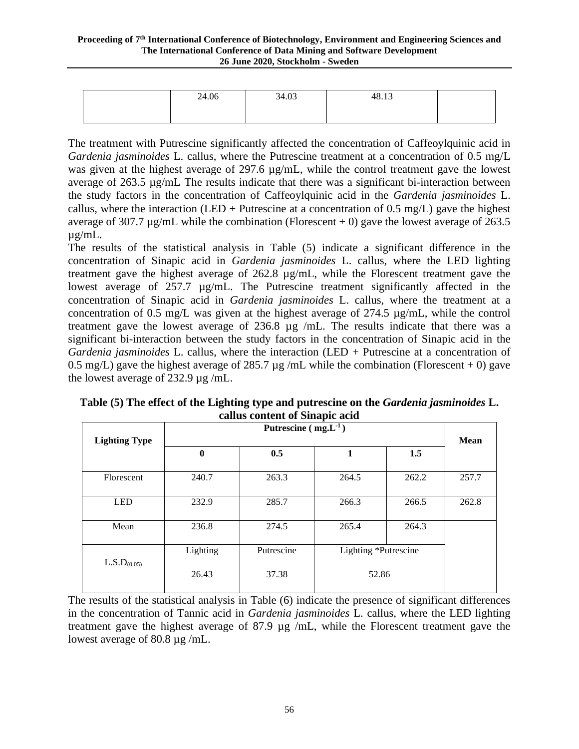| 24.06 | 34.03 | 48.13 |  |
|-------|-------|-------|--|
|       |       |       |  |

The treatment with Putrescine significantly affected the concentration of Caffeoylquinic acid in *Gardenia jasminoides* L. callus, where the Putrescine treatment at a concentration of 0.5 mg/L was given at the highest average of 297.6  $\mu$ g/mL, while the control treatment gave the lowest average of 263.5 µg/mL The results indicate that there was a significant bi-interaction between the study factors in the concentration of Caffeoylquinic acid in the *Gardenia jasminoides* L. callus, where the interaction (LED + Putrescine at a concentration of 0.5 mg/L) gave the highest average of 307.7  $\mu$ g/mL while the combination (Florescent + 0) gave the lowest average of 263.5 µg/mL.

The results of the statistical analysis in Table (5) indicate a significant difference in the concentration of Sinapic acid in *Gardenia jasminoides* L. callus, where the LED lighting treatment gave the highest average of 262.8 µg/mL, while the Florescent treatment gave the lowest average of 257.7 µg/mL. The Putrescine treatment significantly affected in the concentration of Sinapic acid in *Gardenia jasminoides* L. callus, where the treatment at a concentration of 0.5 mg/L was given at the highest average of 274.5  $\mu$ g/mL, while the control treatment gave the lowest average of 236.8 µg /mL. The results indicate that there was a significant bi-interaction between the study factors in the concentration of Sinapic acid in the *Gardenia jasminoides* L. callus, where the interaction (LED + Putrescine at a concentration of 0.5 mg/L) gave the highest average of 285.7  $\mu$ g/mL while the combination (Florescent + 0) gave the lowest average of 232.9 µg /mL.

|                         | Putrescine $(mg.L^{-1})$ |            |                      |       |             |
|-------------------------|--------------------------|------------|----------------------|-------|-------------|
| <b>Lighting Type</b>    | $\mathbf{0}$             | 0.5        | 1                    | 1.5   | <b>Mean</b> |
| Florescent              | 240.7                    | 263.3      | 264.5                | 262.2 | 257.7       |
| <b>LED</b>              | 232.9                    | 285.7      | 266.3                | 266.5 | 262.8       |
| Mean                    | 236.8                    | 274.5      | 265.4                | 264.3 |             |
| L.S.D <sub>(0.05)</sub> | Lighting                 | Putrescine | Lighting *Putrescine |       |             |
|                         | 26.43                    | 37.38      | 52.86                |       |             |

**Table (5) The effect of the Lighting type and putrescine on the** *Gardenia jasminoides* **L. callus content of Sinapic acid**

The results of the statistical analysis in Table (6) indicate the presence of significant differences in the concentration of Tannic acid in *Gardenia jasminoides* L. callus, where the LED lighting treatment gave the highest average of 87.9 µg /mL, while the Florescent treatment gave the lowest average of 80.8 µg /mL.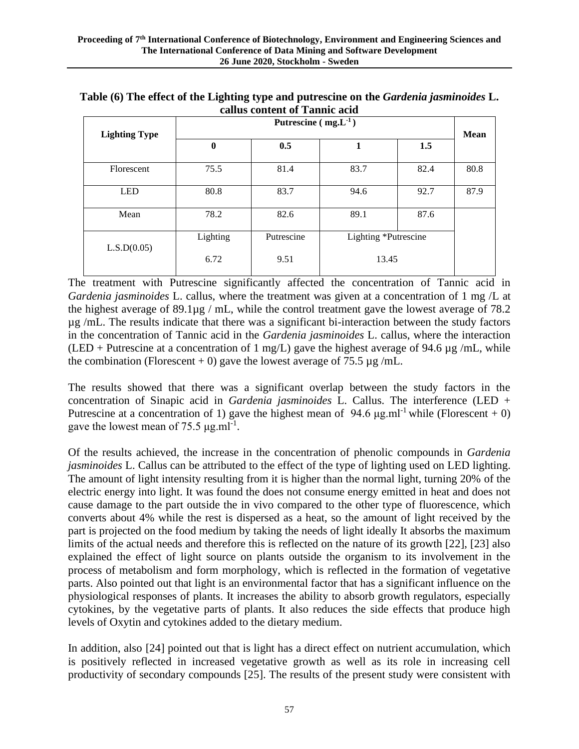|                      | Putrescine $(mg.L1)$ |            |                      |      |             |
|----------------------|----------------------|------------|----------------------|------|-------------|
| <b>Lighting Type</b> | $\bf{0}$             | 0.5        | 1                    | 1.5  | <b>Mean</b> |
| Florescent           | 75.5                 | 81.4       | 83.7                 | 82.4 | 80.8        |
| <b>LED</b>           | 80.8                 | 83.7       | 94.6                 | 92.7 | 87.9        |
| Mean                 | 78.2                 | 82.6       | 89.1                 | 87.6 |             |
| L.S.D(0.05)          | Lighting             | Putrescine | Lighting *Putrescine |      |             |
|                      | 6.72                 | 9.51       | 13.45                |      |             |

**Table (6) The effect of the Lighting type and putrescine on the** *Gardenia jasminoides* **L. callus content of Tannic acid**

The treatment with Putrescine significantly affected the concentration of Tannic acid in *Gardenia jasminoides* L. callus, where the treatment was given at a concentration of 1 mg /L at the highest average of 89.1µg / mL, while the control treatment gave the lowest average of 78.2 µg /mL. The results indicate that there was a significant bi-interaction between the study factors in the concentration of Tannic acid in the *Gardenia jasminoides* L. callus, where the interaction (LED + Putrescine at a concentration of 1 mg/L) gave the highest average of 94.6  $\mu$ g/mL, while the combination (Florescent + 0) gave the lowest average of 75.5  $\mu$ g/mL.

The results showed that there was a significant overlap between the study factors in the concentration of Sinapic acid in *Gardenia jasminoides* L. Callus. The interference (LED + Putrescine at a concentration of 1) gave the highest mean of 94.6  $\mu$ g.ml<sup>-1</sup> while (Florescent + 0) gave the lowest mean of 75.5  $\mu$ g.ml<sup>-1</sup>.

Of the results achieved, the increase in the concentration of phenolic compounds in *Gardenia jasminoides* L. Callus can be attributed to the effect of the type of lighting used on LED lighting. The amount of light intensity resulting from it is higher than the normal light, turning 20% of the electric energy into light. It was found the does not consume energy emitted in heat and does not cause damage to the part outside the in vivo compared to the other type of fluorescence, which converts about 4% while the rest is dispersed as a heat, so the amount of light received by the part is projected on the food medium by taking the needs of light ideally It absorbs the maximum limits of the actual needs and therefore this is reflected on the nature of its growth [22], [23] also explained the effect of light source on plants outside the organism to its involvement in the process of metabolism and form morphology, which is reflected in the formation of vegetative parts. Also pointed out that light is an environmental factor that has a significant influence on the physiological responses of plants. It increases the ability to absorb growth regulators, especially cytokines, by the vegetative parts of plants. It also reduces the side effects that produce high levels of Oxytin and cytokines added to the dietary medium.

In addition, also [24] pointed out that is light has a direct effect on nutrient accumulation, which is positively reflected in increased vegetative growth as well as its role in increasing cell productivity of secondary compounds [25]. The results of the present study were consistent with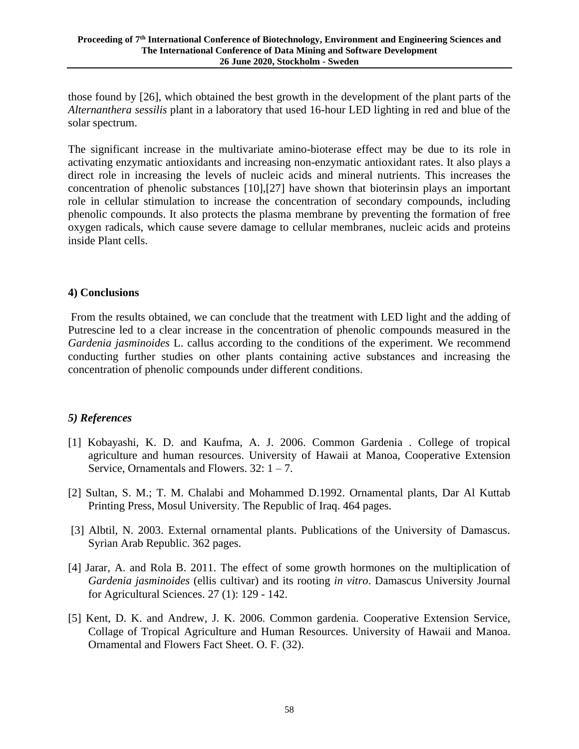those found by [26], which obtained the best growth in the development of the plant parts of the *Alternanthera sessilis* plant in a laboratory that used 16-hour LED lighting in red and blue of the solar spectrum.

The significant increase in the multivariate amino-bioterase effect may be due to its role in activating enzymatic antioxidants and increasing non-enzymatic antioxidant rates. It also plays a direct role in increasing the levels of nucleic acids and mineral nutrients. This increases the concentration of phenolic substances [10],[27] have shown that bioterinsin plays an important role in cellular stimulation to increase the concentration of secondary compounds, including phenolic compounds. It also protects the plasma membrane by preventing the formation of free oxygen radicals, which cause severe damage to cellular membranes, nucleic acids and proteins inside Plant cells.

#### **4) Conclusions**

From the results obtained, we can conclude that the treatment with LED light and the adding of Putrescine led to a clear increase in the concentration of phenolic compounds measured in the *Gardenia jasminoides* L. callus according to the conditions of the experiment. We recommend conducting further studies on other plants containing active substances and increasing the concentration of phenolic compounds under different conditions.

## *5) References*

- [1] Kobayashi, K. D. and Kaufma, A. J. 2006. Common Gardenia . College of tropical agriculture and human resources. University of Hawaii at Manoa, Cooperative Extension Service, Ornamentals and Flowers.  $32: 1 - 7$ .
- [2] Sultan, S. M.; T. M. Chalabi and Mohammed D.1992. Ornamental plants, Dar Al Kuttab Printing Press, Mosul University. The Republic of Iraq. 464 pages.
- [3] Albtil, N. 2003. External ornamental plants. Publications of the University of Damascus. Syrian Arab Republic. 362 pages.
- [4] Jarar, A. and Rola B. 2011. The effect of some growth hormones on the multiplication of *Gardenia jasminoides* (ellis cultivar) and its rooting *in vitro*. Damascus University Journal for Agricultural Sciences. 27 (1): 129 - 142.
- [5] Kent, D. K. and Andrew, J. K. 2006. Common gardenia. Cooperative Extension Service, Collage of Tropical Agriculture and Human Resources. University of Hawaii and Manoa. Ornamental and Flowers Fact Sheet. O. F. (32).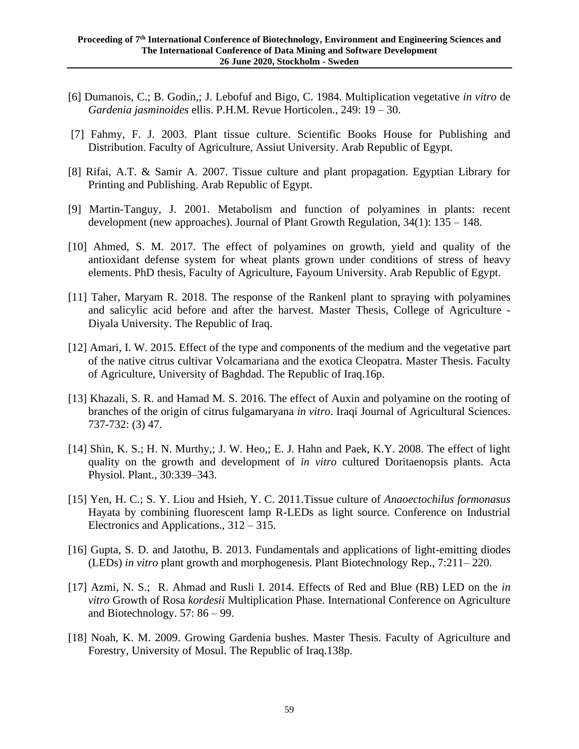- [6] Dumanois, C.; B. Godin,; J. Lebofuf and Bigo, C. 1984. Multiplication vegetative *in vitro* de *Gardenia jasminoides* ellis. P.H.M. Revue Horticolen., 249: 19 – 30.
- [7] Fahmy, F. J. 2003. Plant tissue culture. Scientific Books House for Publishing and Distribution. Faculty of Agriculture, Assiut University. Arab Republic of Egypt.
- [8] Rifai, A.T. & Samir A. 2007. Tissue culture and plant propagation. Egyptian Library for Printing and Publishing. Arab Republic of Egypt.
- [9] Martin-Tanguy, J. 2001. Metabolism and function of polyamines in plants: recent development (new approaches). Journal of Plant Growth Regulation, 34(1): 135 – 148.
- [10] Ahmed, S. M. 2017. The effect of polyamines on growth, yield and quality of the antioxidant defense system for wheat plants grown under conditions of stress of heavy elements. PhD thesis, Faculty of Agriculture, Fayoum University. Arab Republic of Egypt.
- [11] Taher, Maryam R. 2018. The response of the Rankenl plant to spraying with polyamines and salicylic acid before and after the harvest. Master Thesis, College of Agriculture - Diyala University. The Republic of Iraq.
- [12] Amari, I. W. 2015. Effect of the type and components of the medium and the vegetative part of the native citrus cultivar Volcamariana and the exotica Cleopatra. Master Thesis. Faculty of Agriculture, University of Baghdad. The Republic of Iraq.16p.
- [13] Khazali, S. R. and Hamad M. S. 2016. The effect of Auxin and polyamine on the rooting of branches of the origin of citrus fulgamaryana *in vitro*. Iraqi Journal of Agricultural Sciences. 737-732: (3) 47.
- [14] Shin, K. S.; H. N. Murthy,; J. W. Heo,; E. J. Hahn and Paek, K.Y. 2008. The effect of light quality on the growth and development of *in vitro* cultured Doritaenopsis plants. Acta Physiol. Plant., 30:339–343.
- [15] Yen, H. C.; S. Y. Liou and Hsieh, Y. C. 2011.Tissue culture of *Anaoectochilus formonasus* Hayata by combining fluorescent lamp R-LEDs as light source. Conference on Industrial Electronics and Applications., 312 – 315.
- [16] Gupta, S. D. and Jatothu, B. 2013. Fundamentals and applications of light-emitting diodes (LEDs) *in vitro* plant growth and morphogenesis. Plant Biotechnology Rep., 7:211– 220.
- [17] Azmi, N. S.; R. Ahmad and Rusli I. 2014. Effects of Red and Blue (RB) LED on the *in vitro* Growth of Rosa *kordesii* Multiplication Phase. International Conference on Agriculture and Biotechnology. 57: 86 – 99.
- [18] Noah, K. M. 2009. Growing Gardenia bushes. Master Thesis. Faculty of Agriculture and Forestry, University of Mosul. The Republic of Iraq.138p.